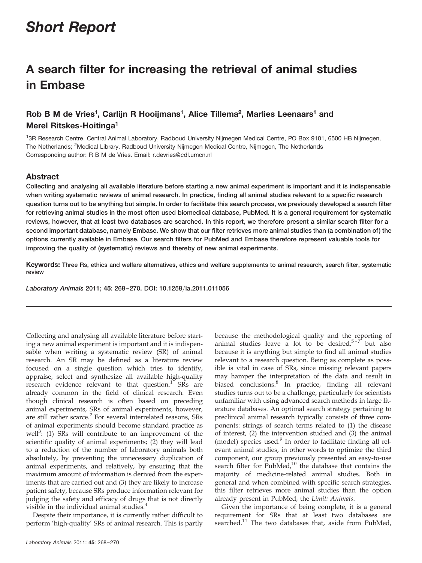# Short Report

## A search filter for increasing the retrieval of animal studies in Embase

### Rob B M de Vries<sup>1</sup>, Carlijn R Hooijmans<sup>1</sup>, Alice Tillema<sup>2</sup>, Marlies Leenaars<sup>1</sup> and Merel Ritskes-Hoitinga1

<sup>1</sup>3R Research Centre, Central Animal Laboratory, Radboud University Nijmegen Medical Centre, PO Box 9101, 6500 HB Nijmegen, The Netherlands; <sup>2</sup>Medical Library, Radboud University Nijmegen Medical Centre, Nijmegen, The Netherlands Corresponding author: R B M de Vries. Email: [r.devries@cdl.umcn.nl](mailto:r.devries@cdl.umcn.nl)

### Abstract

Collecting and analysing all available literature before starting a new animal experiment is important and it is indispensable when writing systematic reviews of animal research. In practice, finding all animal studies relevant to a specific research question turns out to be anything but simple. In order to facilitate this search process, we previously developed a search filter for retrieving animal studies in the most often used biomedical database, PubMed. It is a general requirement for systematic reviews, however, that at least two databases are searched. In this report, we therefore present a similar search filter for a second important database, namely Embase. We show that our filter retrieves more animal studies than (a combination of) the options currently available in Embase. Our search filters for PubMed and Embase therefore represent valuable tools for improving the quality of (systematic) reviews and thereby of new animal experiments.

Keywords: Three Rs, ethics and welfare alternatives, ethics and welfare supplements to animal research, search filter, systematic review

Laboratory Animals 2011; 45: 268–270. DOI: 10.1258/la.2011.011056

Collecting and analysing all available literature before starting a new animal experiment is important and it is indispensable when writing a systematic review (SR) of animal research. An SR may be defined as a literature review focused on a single question which tries to identify, appraise, select and synthesize all available high-quality research evidence relevant to that question.<sup>1</sup> SRs are already common in the field of clinical research. Even though clinical research is often based on preceding animal experiments, SRs of animal experiments, however, are still rather scarce.<sup>2</sup> For several interrelated reasons, SRs of animal experiments should become standard practice as well<sup>3</sup>: (1) SRs will contribute to an improvement of the scientific quality of animal experiments; (2) they will lead to a reduction of the number of laboratory animals both absolutely, by preventing the unnecessary duplication of animal experiments, and relatively, by ensuring that the maximum amount of information is derived from the experiments that are carried out and (3) they are likely to increase patient safety, because SRs produce information relevant for judging the safety and efficacy of drugs that is not directly visible in the individual animal studies.<sup>4</sup>

Despite their importance, it is currently rather difficult to perform 'high-quality' SRs of animal research. This is partly

because the methodological quality and the reporting of animal studies leave a lot to be desired,  $5-7$  but also because it is anything but simple to find all animal studies relevant to a research question. Being as complete as possible is vital in case of SRs, since missing relevant papers may hamper the interpretation of the data and result in biased conclusions.<sup>8</sup> In practice, finding all relevant studies turns out to be a challenge, particularly for scientists unfamiliar with using advanced search methods in large literature databases. An optimal search strategy pertaining to preclinical animal research typically consists of three components: strings of search terms related to (1) the disease of interest, (2) the intervention studied and (3) the animal (model) species used.<sup>9</sup> In order to facilitate finding all relevant animal studies, in other words to optimize the third component, our group previously presented an easy-to-use search filter for  $\overline{PubMed}$ ,<sup>10</sup> the database that contains the majority of medicine-related animal studies. Both in general and when combined with specific search strategies, this filter retrieves more animal studies than the option already present in PubMed, the Limit: Animals.

Given the importance of being complete, it is a general requirement for SRs that at least two databases are searched.<sup>11</sup> The two databases that, aside from PubMed,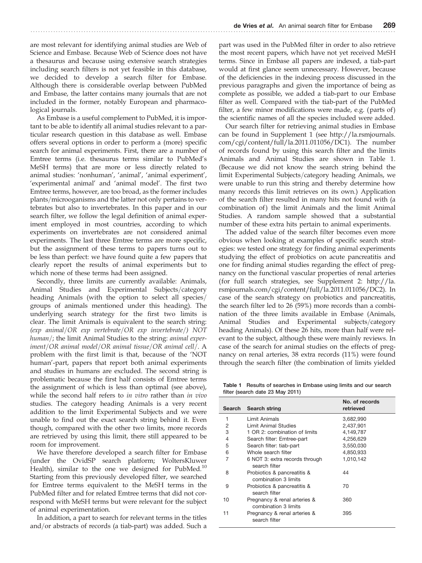are most relevant for identifying animal studies are Web of Science and Embase. Because Web of Science does not have a thesaurus and because using extensive search strategies including search filters is not yet feasible in this database, we decided to develop a search filter for Embase. Although there is considerable overlap between PubMed and Embase, the latter contains many journals that are not included in the former, notably European and pharmacological journals.

As Embase is a useful complement to PubMed, it is important to be able to identify all animal studies relevant to a particular research question in this database as well. Embase offers several options in order to perform a (more) specific search for animal experiments. First, there are a number of Emtree terms (i.e. thesaurus terms similar to PubMed's MeSH terms) that are more or less directly related to animal studies: 'nonhuman', 'animal', 'animal experiment', 'experimental animal' and 'animal model'. The first two Emtree terms, however, are too broad, as the former includes plants/microoganisms and the latter not only pertains to vertebrates but also to invertebrates. In this paper and in our search filter, we follow the legal definition of animal experiment employed in most countries, according to which experiments on invertebrates are not considered animal experiments. The last three Emtree terms are more specific, but the assignment of these terms to papers turns out to be less than perfect: we have found quite a few papers that clearly report the results of animal experiments but to which none of these terms had been assigned.

Secondly, three limits are currently available: Animals, Animal Studies and Experimental Subjects/category heading Animals (with the option to select all species/ groups of animals mentioned under this heading). The underlying search strategy for the first two limits is clear. The limit Animals is equivalent to the search string: (exp animal/OR exp vertebrate/OR exp invertebrate/) NOT human/; the limit Animal Studies to the string: animal experiment/OR animal model/OR animal tissue/OR animal cell/. A problem with the first limit is that, because of the 'NOT human'-part, papers that report both animal experiments and studies in humans are excluded. The second string is problematic because the first half consists of Emtree terms the assignment of which is less than optimal (see above), while the second half refers to in vitro rather than in vivo studies. The category heading Animals is a very recent addition to the limit Experimental Subjects and we were unable to find out the exact search string behind it. Even though, compared with the other two limits, more records are retrieved by using this limit, there still appeared to be room for improvement.

We have therefore developed a search filter for Embase (under the OvidSP search platform; WoltersKluwer Health), similar to the one we designed for PubMed.<sup>10</sup> Starting from this previously developed filter, we searched for Emtree terms equivalent to the MeSH terms in the PubMed filter and for related Emtree terms that did not correspond with MeSH terms but were relevant for the subject of animal experimentation.

In addition, a part to search for relevant terms in the titles and/or abstracts of records (a tiab-part) was added. Such a

part was used in the PubMed filter in order to also retrieve the most recent papers, which have not yet received MeSH terms. Since in Embase all papers are indexed, a tiab-part would at first glance seem unnecessary. However, because of the deficiencies in the indexing process discussed in the previous paragraphs and given the importance of being as complete as possible, we added a tiab-part to our Embase filter as well. Compared with the tiab-part of the PubMed filter, a few minor modifications were made, e.g. (parts of) the scientific names of all the species included were added.

Our search filter for retrieving animal studies in Embase can be found in [Supplement 1](http://.oxfordjournals.org/lookup/suppl/doi:10.1093//LA-11-056/-/DC1) (see [http://la.rsmjournals.](http://la.rsmjournals.com/cgi/content/full/la.2011.011056/DC1) [com/cgi/content/full/la.2011.011056/DC1\)](http://la.rsmjournals.com/cgi/content/full/la.2011.011056/DC1). The number of records found by using this search filter and the limits Animals and Animal Studies are shown in Table 1. (Because we did not know the search string behind the limit Experimental Subjects/category heading Animals, we were unable to run this string and thereby determine how many records this limit retrieves on its own.) Application of the search filter resulted in many hits not found with (a combination of) the limit Animals and the limit Animal Studies. A random sample showed that a substantial number of these extra hits pertain to animal experiments.

The added value of the search filter becomes even more obvious when looking at examples of specific search strategies: we tested one strategy for finding animal experiments studying the effect of probiotics on acute pancreatitis and one for finding animal studies regarding the effect of pregnancy on the functional vascular properties of renal arteries (for full search strategies, see [Supplement 2](http://.oxfordjournals.org/lookup/suppl/doi:10.1093//LA-11-056/-/DC1): [http://la.](http://la.rsmjournals.com/cgi/content/full/la.2011.011056/DC2) [rsmjournals.com/cgi/content/full/la.2011.011056/DC2](http://la.rsmjournals.com/cgi/content/full/la.2011.011056/DC2)). In case of the search strategy on probiotics and pancreatitis, the search filter led to 26 (59%) more records than a combination of the three limits available in Embase (Animals, Animal Studies and Experimental subjects/category heading Animals). Of these 26 hits, more than half were relevant to the subject, although these were mainly reviews. In case of the search for animal studies on the effects of pregnancy on renal arteries, 38 extra records (11%) were found through the search filter (the combination of limits yielded

Table 1 Results of searches in Embase using limits and our search filter (search date 23 May 2011)

|               |                                                      | No. of records |
|---------------|------------------------------------------------------|----------------|
| <b>Search</b> | Search string                                        | retrieved      |
| 1             | <b>Limit Animals</b>                                 | 3,682,990      |
| 2             | <b>Limit Animal Studies</b>                          | 2,437,901      |
| 3             | 1 OR 2: combination of limits                        | 4,149,787      |
| 4             | Search filter: Emtree-part                           | 4,256,629      |
| 5             | Search filter: tiab-part                             | 3,550,030      |
| 6             | Whole search filter                                  | 4,850,933      |
| 7             | 6 NOT 3: extra records through<br>search filter      | 1,010,142      |
| 8             | Probiotics & pancreatitis &<br>combination 3 limits  | 44             |
| 9             | Probiotics & pancreatitis &<br>search filter         | 70             |
| 10            | Pregnancy & renal arteries &<br>combination 3 limits | 360            |
| 11            | Pregnancy & renal arteries &<br>search filter        | 395            |